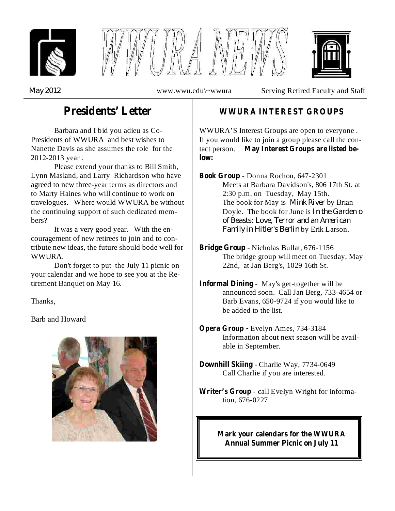





*May 2012*

www.wwu.edu\~wwura Serving Retired Faculty and Staff

# **Presidents' Letter**

Barbara and I bid you adieu as Co-Presidents of WWURA and best wishes to Nanette Davis as she assumes the role for the 2012-2013 year .

Please extend your thanks to Bill Smith, Lynn Masland, and Larry Richardson who have agreed to new three-year terms as directors and to Marty Haines who will continue to work on travelogues. Where would WWURA be without the continuing support of such dedicated members?

It was a very good year. With the encouragement of new retirees to join and to contribute new ideas, the future should bode well for WWURA.

Don't forget to put the July 11 picnic on your calendar and we hope to see you at the Retirement Banquet on May 16.

Thanks,

Barb and Howard



### **WWURA INTEREST GROUPS**

WWURA'S Interest Groups are open to everyone . If you would like to join a group please call the contact person. **May Interest Groups are listed below:**

The book for May is *Mink River* by Brian *In the Garden o* Doyle. The book for June is *of Beasts: Love, Terror and an American Family in Hitler's Berlin* by Erik Larson. - Donna Rochon, 647-2301 **Book Group** Meets at Barbara Davidson's, 806 17th St. at 2:30 p.m. on Tuesday, May 15th.

- **Bridge Group** Nicholas Bullat, 676-1156 The bridge group will meet on Tuesday, May 22nd, at Jan Berg's, 1029 16th St.
- **Informal Dining** May's get-together will be announced soon. Call Jan Berg, 733-4654 or Barb Evans, 650-9724 if you would like to be added to the list.
- Evelyn Ames, 734-3184 **Opera Group -** Information about next season will be available in September.
- **Downhill Skiing** Charlie Way, 7734-0649 Call Charlie if you are interested.
- Writer's Group call Evelyn Wright for information, 676-0227.

**Mark your calendars for the WWURA Annual Summer Picnic on July 11**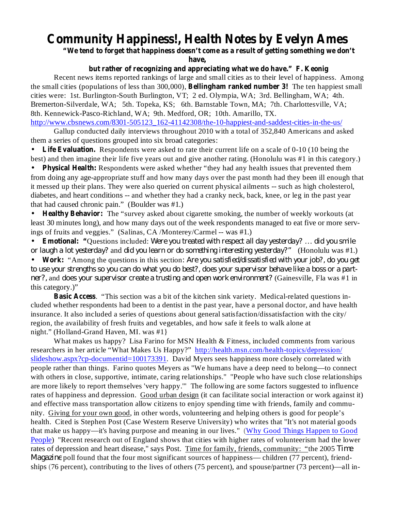# **Community Happiness!, Health Notes by Evelyn Ames**

**"We tend to forget that happiness doesn't come as a result of getting something we don't**

**have,**

#### **but rather of recognizing and appreciating what we do have." F. Keonig**

the small cities (populations of less than 300,000), **Bellingham ranked number 3!** The ten happiest small Recent news items reported rankings of large and small cities as to their level of happiness. Among cities were: 1st. Burlington-South Burlington, VT; 2 ed. Olympia, WA; 3rd. Bellingham, WA; 4th. Bremerton-Silverdale, WA; 5th. Topeka, KS; 6th. Barnstable Town, MA; 7th. Charlottesville, VA; 8th. Kennewick-Pasco-Richland, WA; 9th. Medford, OR; 10th. Amarillo, TX.

http://www.cbsnews.com/8301-505123\_162-41142308/the-10-happiest-and-saddest-cities-in-the-us/

Gallup conducted daily interviews throughout 2010 with a total of 352,840 Americans and asked them a series of questions grouped into six broad categories:

Life Evaluation. Respondents were asked to rate their current life on a scale of 0-10 (10 being the best) and then imagine their life five years out and give another rating. (Honolulu was #1 in this category.) •

**Physical Health:** Respondents were asked whether "they had any health issues that prevented them from doing any age-appropriate stuff and how many days over the past month had they been ill enough that it messed up their plans. They were also queried on current physical ailments -- such as high cholesterol, diabetes, and heart conditions -- and whether they had a cranky neck, back, knee, or leg in the past year that had caused chronic pain." (Boulder was #1.)  $\bullet$ 

**Healthy Behavior:** The "survey asked about cigarette smoking, the number of weekly workouts (at least 30 minutes long), and how many days out of the week respondents managed to eat five or more servings of fruits and veggies." (Salinas, CA /Monterey/Carmel -- was #1.) •

**Emotional: "Questions included:** Were you treated with respect all day yesterday? ... did you smile *or laugh a lot yesterday?* and *did you learn or do something interesting yesterday?"* (Honolulu was #1.) •

**Work:** "Among the questions in this section • *: Are you satisfied/dissatisfied with your job?, do you get ner?,* and *does your supervisor create a trusting and open work environment?* (Gainesville, Fla was #1 in this category.)" to use your strengths so you can do what you do best?, does your supervisor behave like a boss or a part-

**Basic Access** . "This section was a bit of the kitchen sink variety. Medical-related questions included whether respondents had been to a dentist in the past year, have a personal doctor, and have health insurance. It also included a series of questions about general satisfaction/dissatisfaction with the city/ region, the availability of fresh fruits and vegetables, and how safe it feels to walk alone at night." (Holland-Grand Haven, MI. was #1}

What makes us happy? Lisa Farino for MSN Health & Fitness, included comments from various researchers in her article "What Makes Us Happy?" http://health.msn.com/health-topics/depression/ slideshow.aspx?cp-documentid=100173391. David Myers sees happiness more closely correlated with people rather than things. Farino quotes Meyers as "We humans have a deep need to belong—to connect with others in close, supportive, intimate, caring relationships." "People who have such close relationships are more likely to report themselves 'very happy.'" The following are some factors suggested to influence rates of happiness and depression. Good urban design (it can facilitate social interaction or work against it) and effective mass transportation allow citizens to enjoy spending time with friends, family and community. Giving for your own good, in other words, volunteering and helping others is good for people's health. Cited is Stephen Post (Case Western Reserve University) who writes that "It's not material goods that make us happy—it's having purpose and meaning in our lives." (Why Good Things Happen to Good People) "Recent research out of England shows that cities with higher rates of volunteerism had the lower rates of depression and heart disease," says Post. Time for family, friends, community: "the 2005 *Time Magazine* poll found that the four most significant sources of happiness— children (77 percent), friendships (76 percent), contributing to the lives of others (75 percent), and spouse/partner (73 percent)—all in-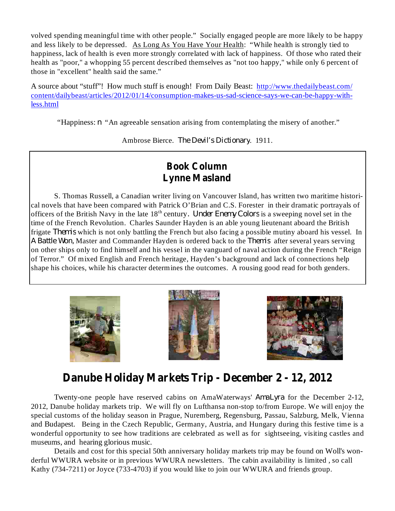volved spending meaningful time with other people." Socially engaged people are more likely to be happy and less likely to be depressed. As Long As You Have Your Health: "While health is strongly tied to happiness, lack of health is even more strongly correlated with lack of happiness. Of those who rated their health as "poor," a whopping 55 percent described themselves as "not too happy," while only 6 percent of those in "excellent" health said the same."

A source about "stuff"! How much stuff is enough! From Daily Beast: http://www.thedailybeast.com/ content/dailybeast/articles/2012/01/14/consumption-makes-us-sad-science-says-we-can-be-happy-withless.html

"Happiness: *n* "An agreeable sensation arising from contemplating the misery of another."

Ambrose Bierce. The Devil's Dictionary. 1911.

### **Book Column Lynne Masland**

S. Thomas Russell, a Canadian writer living on Vancouver Island, has written two maritime historical novels that have been compared with Patrick O'Brian and C.S. Forester in their dramatic portrayals of officers of the British Navy in the late 18<sup>th</sup> century. *Under Enemy Colors* is a sweeping novel set in the time of the French Revolution. Charles Saunder Hayden is an able young lieutenant aboard the British frigate *Themis* which is not only battling the French but also facing a possible mutiny aboard his vessel. In A Battle Won, Master and Commander Hayden is ordered back to the *Themis* after several years serving on other ships only to find himself and his vessel in the vanguard of naval action during the French "Reign of Terror." Of mixed English and French heritage, Hayden's background and lack of connections help shape his choices, while his character determines the outcomes. A rousing good read for both genders.





### **Danube Holiday Markets Trip - December 2 - 12, 2012**

Twenty-one people have reserved cabins on AmaWaterways' AmaLyra for the December 2-12, 2012, Danube holiday markets trip. We will fly on Lufthansa non-stop to/from Europe. We will enjoy the special customs of the holiday season in Prague, Nuremberg, Regensburg, Passau, Salzburg, Melk, Vienna and Budapest. Being in the Czech Republic, Germany, Austria, and Hungary during this festive time is a wonderful opportunity to see how traditions are celebrated as well as for sightseeing, visiting castles and museums, and hearing glorious music.

Details and cost for this special 50th anniversary holiday markets trip may be found on Woll's wonderful WWURA website or in previous WWURA newsletters. The cabin availability is limited , so call Kathy (734-7211) or Joyce (733-4703) if you would like to join our WWURA and friends group.